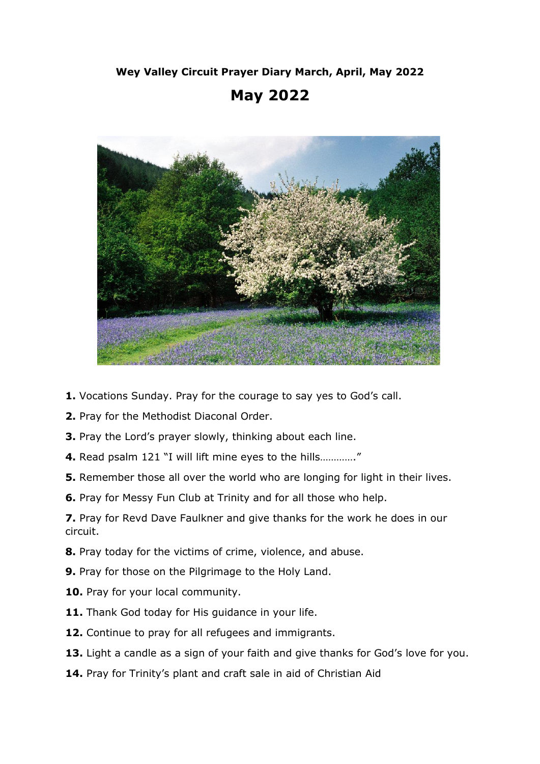**Wey Valley Circuit Prayer Diary March, April, May 2022**

## **May 2022**



- **1.** Vocations Sunday. Pray for the courage to say yes to God's call.
- **2.** Pray for the Methodist Diaconal Order.
- **3.** Pray the Lord's prayer slowly, thinking about each line.
- **4.** Read psalm 121 "I will lift mine eyes to the hills…………."
- **5.** Remember those all over the world who are longing for light in their lives.
- **6.** Pray for Messy Fun Club at Trinity and for all those who help.

**7.** Pray for Revd Dave Faulkner and give thanks for the work he does in our circuit.

- **8.** Pray today for the victims of crime, violence, and abuse.
- **9.** Pray for those on the Pilgrimage to the Holy Land.
- 10. Pray for your local community.
- 11. Thank God today for His guidance in your life.
- **12.** Continue to pray for all refugees and immigrants.
- **13.** Light a candle as a sign of your faith and give thanks for God's love for you.
- **14.** Pray for Trinity's plant and craft sale in aid of Christian Aid